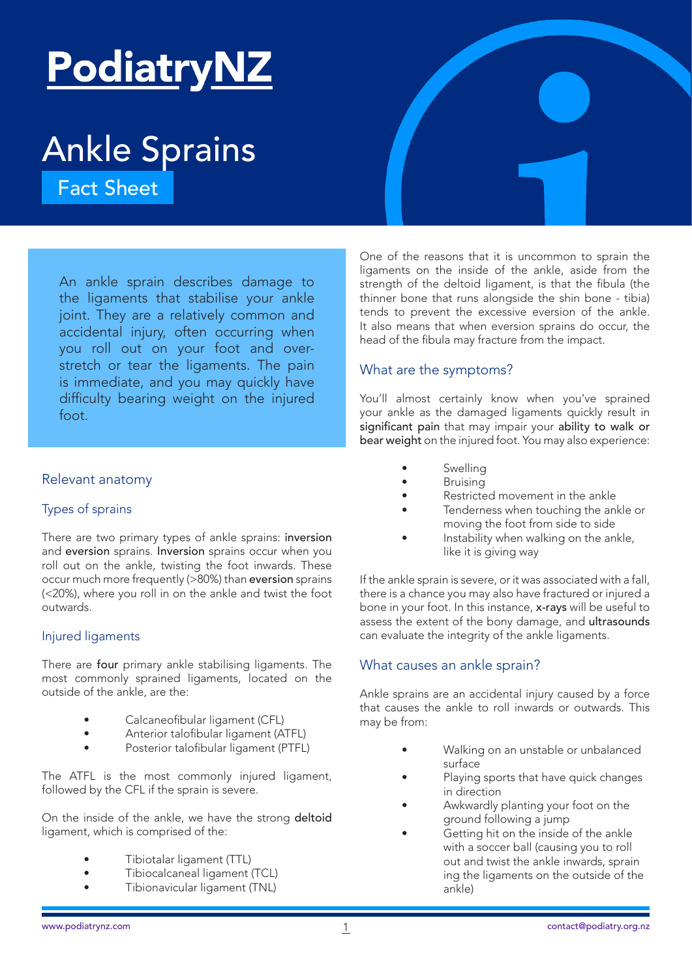# Ankle Sprains

An ankle sprain describes damage to the ligaments that stabilise your ankle joint. They are a relatively common and accidental injury, often occurring when you roll out on your foot and overstretch or tear the ligaments. The pain is immediate, and you may quickly have difficulty bearing weight on the injured foot. **Example 18 An ankle Sprains**<br>
An ankle sprain describes damage to<br>
An ankle sprain describes damage to<br>
the ligaments on the inside of the ankle, aside from<br>
the ligaments that atabilise your ankle<br>
joint. They are a rela

# Relevant anatomy

### Types of sprains

There are two primary types of ankle sprains: inversion and eversion sprains. Inversion sprains occur when you roll out on the ankle, twisting the foot inwards. These occur much more frequently (>80%) than eversion sprains (<20%), where you roll in on the ankle and twist the foot outwards.

### Injured ligaments

There are four primary ankle stabilising ligaments. The most commonly sprained ligaments, located on the outside of the ankle, are the:

- Calcaneofibular ligament (CFL)
- Anterior talofibular ligament (ATFL)
- Posterior talofibular ligament (PTFL)

The ATFL is the most commonly injured ligament, followed by the CFL if the sprain is severe.

On the inside of the ankle, we have the strong deltoid ligament, which is comprised of the:

- Tibiotalar ligament (TTL)
- Tibiocalcaneal ligament (TCL)
- Tibionavicular ligament (TNL)

One of the reasons that it is uncommon to sprain the ligaments on the inside of the ankle, aside from the strength of the deltoid ligament, is that the fibula (the thinner bone that runs alongside the shin bone - tibia) tends to prevent the excessive eversion of the ankle. It also means that when eversion sprains do occur, the head of the fibula may fracture from the impact.

# What are the symptoms?

You'll almost certainly know when you've sprained your ankle as the damaged ligaments quickly result in significant pain that may impair your ability to walk or bear weight on the injured foot. You may also experience:

- **Swelling**
- **Bruising**
- Restricted movement in the ankle
- Tenderness when touching the ankle or moving the foot from side to side
- Instability when walking on the ankle, like it is giving way

If the ankle sprain is severe, or it was associated with a fall, there is a chance you may also have fractured or injured a bone in your foot. In this instance, x-rays will be useful to assess the extent of the bony damage, and ultrasounds can evaluate the integrity of the ankle ligaments.

# What causes an ankle sprain?

Ankle sprains are an accidental injury caused by a force that causes the ankle to roll inwards or outwards. This may be from:

- Walking on an unstable or unbalanced surface
- Playing sports that have quick changes in direction
- Awkwardly planting your foot on the ground following a jump
- Getting hit on the inside of the ankle with a soccer ball (causing you to roll out and twist the ankle inwards, sprain ing the ligaments on the outside of the ankle)